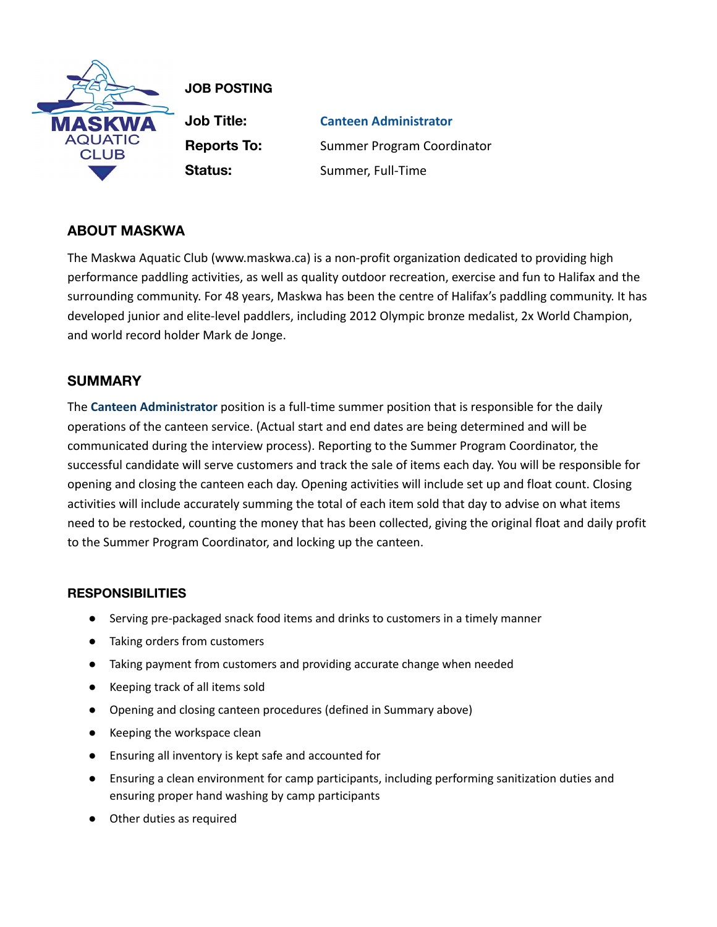

**JOB POSTING**

**Job Title: Canteen Administrator Reports To:** Summer Program Coordinator **Status:** Summer, Full-Time

# **ABOUT MASKWA**

The Maskwa Aquatic Club (www.maskwa.ca) is a non-profit organization dedicated to providing high performance paddling activities, as well as quality outdoor recreation, exercise and fun to Halifax and the surrounding community. For 48 years, Maskwa has been the centre of Halifax's paddling community. It has developed junior and elite-level paddlers, including 2012 Olympic bronze medalist, 2x World Champion, and world record holder Mark de Jonge.

## **SUMMARY**

The **Canteen Administrator** position is a full-time summer position that is responsible for the daily operations of the canteen service. (Actual start and end dates are being determined and will be communicated during the interview process). Reporting to the Summer Program Coordinator, the successful candidate will serve customers and track the sale of items each day. You will be responsible for opening and closing the canteen each day. Opening activities will include set up and float count. Closing activities will include accurately summing the total of each item sold that day to advise on what items need to be restocked, counting the money that has been collected, giving the original float and daily profit to the Summer Program Coordinator, and locking up the canteen.

### **RESPONSIBILITIES**

- Serving pre-packaged snack food items and drinks to customers in a timely manner
- Taking orders from customers
- Taking payment from customers and providing accurate change when needed
- Keeping track of all items sold
- Opening and closing canteen procedures (defined in Summary above)
- Keeping the workspace clean
- Ensuring all inventory is kept safe and accounted for
- Ensuring a clean environment for camp participants, including performing sanitization duties and ensuring proper hand washing by camp participants
- Other duties as required